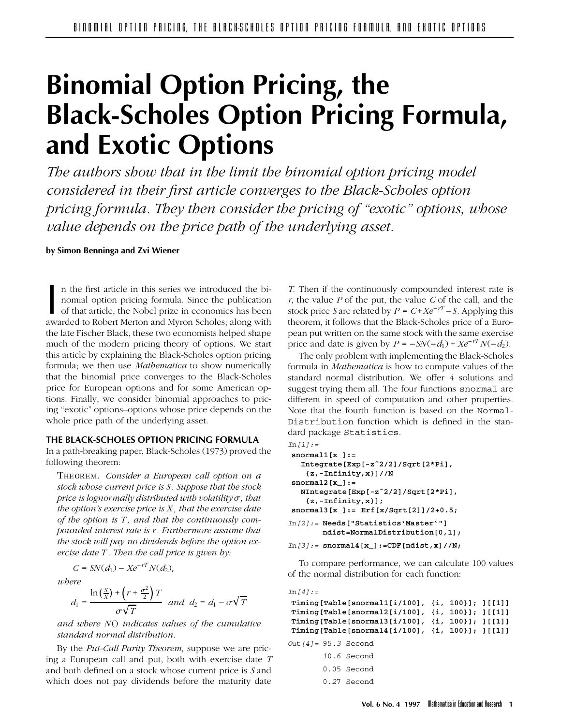# **Binomial Option Pricing, the Black-Scholes Option Pricing Formula, and Exotic Options**

*The authors show that in the limit the binomial option pricing model considered in their first article converges to the Black-Scholes option pricing formula. They then consider the pricing of "exotic" options, whose value depends on the price path of the underlying asset.*

**by Simon Benninga and Zvi Wiener**

In the first article in this series we introduced the binomial option pricing formula. Since the publication of that article, the Nobel prize in economics has been awarded to Robert Merton and Myron Scholes; along with n the first article in this series we introduced the binomial option pricing formula. Since the publication of that article, the Nobel prize in economics has been the late Fischer Black, these two economists helped shape much of the modern pricing theory of options. We start this article by explaining the Black-Scholes option pricing formula; we then use *Mathematica* to show numerically that the binomial price converges to the Black-Scholes price for European options and for some American options. Finally, we consider binomial approaches to pricing "exotic" options–options whose price depends on the whole price path of the underlying asset.

## **THE BLACK-SCHOLES OPTION PRICING FORMULA**

In a path-breaking paper, Black-Scholes (1973) proved the following theorem:

Theorem. *Consider a European call option on a stock whose current price is S. Suppose that the stock price is lognormally distributed with volatility* $\sigma$ *, that the option's exercise price is X , that the exercise date of the option is T , and that the continuously compounded interest rate is r. Furthermore assume that the stock will pay no dividends before the option exercise date T . Then the call price is given by:*

$$
C = SN(d_1) - Xe^{-rT}N(d_2),
$$

*where*

$$
d_1 = \frac{\ln\left(\frac{S}{X}\right) + \left(r + \frac{\sigma^2}{2}\right)T}{\sigma\sqrt{T}} \quad \text{and} \quad d_2 = d_1 - \sigma\sqrt{T}
$$

*and where NO indicates values of the cumulative standard normal distribution.*

By the *Put-Call Parity Theorem*, suppose we are pricing a European call and put, both with exercise date *T* and both defined on a stock whose current price is *S* and which does not pay dividends before the maturity date

*T*. Then if the continuously compounded interest rate is *r*, the value *P* of the put, the value *C* of the call, and the stock price *S* are related by  $P = C + Xe^{-rT} - S$ . Applying this theorem, it follows that the Black-Scholes price of a European put written on the same stock with the same exercise price and date is given by  $P = -SN(-d_1) + Xe^{-rT}N(-d_2)$ .

The only problem with implementing the Black-Scholes formula in *Mathematica* is how to compute values of the standard normal distribution. We offer 4 solutions and suggest trying them all. The four functions snormal are different in speed of computation and other properties. Note that the fourth function is based on the Normal-Distribution function which is defined in the standard package Statistics.

```
In[I]:=snormal1[x_]:=
  Integrate[Exp[-zˆ2/2]/Sqrt[2*Pi],
   {z,-Infinity,x}]//N
snormal2[x_]:=
  NIntegrate[Exp[-zˆ2/2]/Sqrt[2*Pi],
   {z,-Infinity,x}];
snormal3[x_]:= Erf[x/Sqrt[2]]/2+0.5;
In[2]:= Needs["Statistics'Master'"]
       ndist=NormalDistribution[0,1];
In[3]:= snormal4[x_]:=CDF[ndist,x]//N;
```
To compare performance, we can calculate 100 values of the normal distribution for each function:

| In $141 :=$                                              |               |  |  |
|----------------------------------------------------------|---------------|--|--|
| Timing [Table [snormal1[i/100], $\{i, 100\}$ ]; ] [[1]]  |               |  |  |
| Timing[Table[snormal2[i/100], {i, 100}]; ][[1]]          |               |  |  |
| Timing[Table[snormal3[i/100], {i, 100}]; ][[1]]          |               |  |  |
| Timing [Table [snormal4 [i/100], $\{i, 100\}$ ]; ] [[1]] |               |  |  |
| Out $141 = 95.3$ Second                                  |               |  |  |
|                                                          | $10.6$ Second |  |  |
|                                                          | $0.05$ Second |  |  |

0.27 Second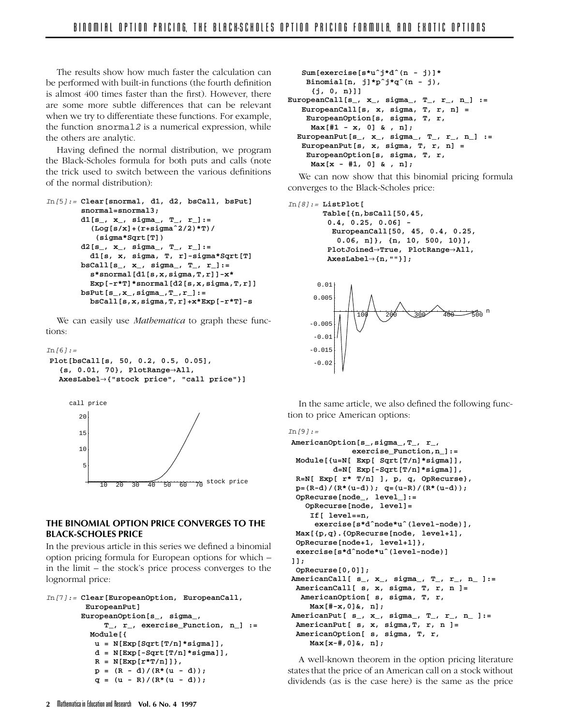The results show how much faster the calculation can be performed with built-in functions (the fourth definition is almost 400 times faster than the first). However, there are some more subtle differences that can be relevant when we try to differentiate these functions. For example, the function snormal2 is a numerical expression, while the others are analytic.

Having defined the normal distribution, we program the Black-Scholes formula for both puts and calls (note the trick used to switch between the various definitions of the normal distribution):

```
In[5]:= Clear[snormal, d1, d2, bsCall, bsPut]
       snormal=snormal3;
       d1[s_, x_, sigma_, T_, r_]:=
          (Log[s/x]+(r+sigmaˆ2/2)*T)/
           (sigma*Sqrt[T])
       d2[s_, x_, sigma_, T_, r_]:=
         d1[s, x, sigma, T, r]-sigma*Sqrt[T]
       bsCall[s_, x_, sigma_, T_, r_]:=
         s*snormal[d1[s,x,sigma,T,r]]-x*
         Exp[-r*T]*snormal[d2[s,x,sigma,T,r]]
       bsPut[s_,x_,sigma_,T_,r_]:=
         bsCall[s,x,sigma,T,r]+x*Exp[-r*T]-s
```
We can easily use *Mathematica* to graph these functions:

```
In [6]:=Plot[bsCall[s, 50, 0.2, 0.5, 0.05],
   {s, 0.01, 70}, PlotRangeéAll,
  AxesLabelé{"stock price", "call price"}]
```


## **THE BINOMIAL OPTION PRICE CONVERGES TO THE BLACK-SCHOLES PRICE**

In the previous article in this series we defined a binomial option pricing formula for European options for which – in the limit – the stock's price process converges to the lognormal price:

```
In[7]:= Clear[EuropeanOption, EuropeanCall,
        EuropeanPut]
       EuropeanOption[s_, sigma_,
            T_, r_, exercise_Function, n_] :=
         Module[{
          u = N[Exp[Sqrt[T/n]*sigma]],
          d = N[Exp[-Sqrt[T/n]*sigma]],
          R = N[Exp[r*T/n]]},
          p = (R - d)/(R*(u - d));q = (u - R)/(R*(u - d));
```

```
Sum[exercise[s*uˆj*dˆ(n - j)]*
    Binomial[n, j]*pˆj*qˆ(n - j),
     {j, 0, n}]]
EuropeanCall[s_, x_, sigma_, T_, r_, n_] :=
   EuropeanCall[s, x, sigma, T, r, n] =
    EuropeanOption[s, sigma, T, r,
    Max[#1 - x, 0] & , n];
  EuropeanPut[s_, x_, sigma_, T_, r_, n_] :=
   EuropeanPut[s, x, sigma, T, r, n] =
    EuropeanOption[s, sigma, T, r,
    Max[x - #1, 0] & , n];
```
We can now show that this binomial pricing formula converges to the Black-Scholes price:

```
In[8]:= ListPlot[
       Table[{n,bsCall[50,45,
        0.4, 0.25, 0.06] -
         EuropeanCall[50, 45, 0.4, 0.25,
          0.06, n]}, {n, 10, 500, 10}],
        PlotJoined→True, PlotRange→All,
        AxesLabelé{n,""}];
```


In the same article, we also defined the following function to price American options:

```
In [9] : =
AmericanOption[s_,sigma_,T_, r_,
              exercise_Function,n_]:=
 Module[{u=N[ Exp[ Sqrt[T/n]*sigma]],
         d=N[ Exp[-Sqrt[T/n]*sigma]],
 R=N[ Exp[ r* T/n] ], p, q, OpRecurse},
 p=(R-d)/(R*(u-d)); q=(u-R)/(R*(u-d));
 OpRecurse[node_, level_]:=
   OpRecurse[node, level]=
    If[ level==n,
     exercise[s*dˆnode*uˆ(level-node)],
 Max[{p,q}.{OpRecurse[node, level+1],
 OpRecurse[node+1, level+1]},
 exercise[s*dˆnode*uˆ(level-node)]
]];
 OpRecurse[0,0]];
AmericanCall[ s_, x_, sigma_, T_, r_, n_ ]:=
 AmericanCall[ s, x, sigma, T, r, n ]=
  AmericanOption[ s, sigma, T, r,
    Max[#-x,0]&, n];
AmericanPut[ s_, x_, sigma_, T_, r_, n_ ]:=
 AmericanPut[ s, x, sigma,T, r, n ]=
 AmericanOption[ s, sigma, T, r,
    Max[x-#,0]&, n];
```
A well-known theorem in the option pricing literature states that the price of an American call on a stock without dividends (as is the case here) is the same as the price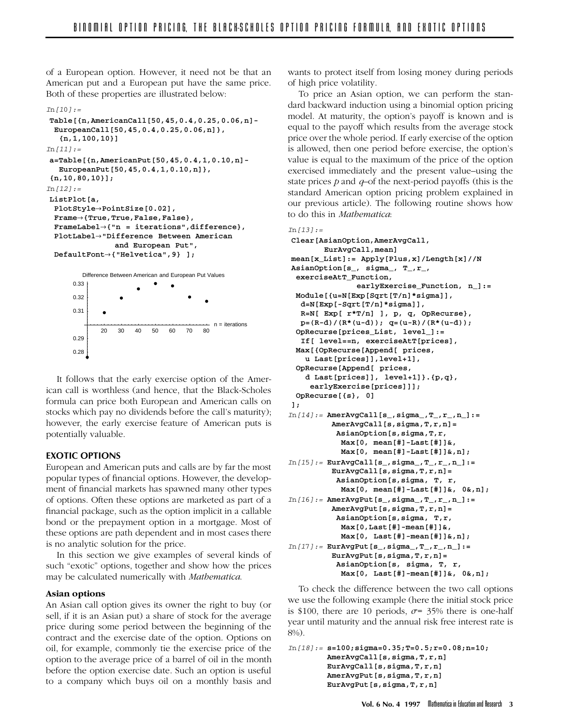of a European option. However, it need not be that an American put and a European put have the same price. Both of these properties are illustrated below:

```
In [10]: =
Table[{n,AmericanCall[50,45,0.4,0.25,0.06,n]-
 EuropeanCall[50,45,0.4,0.25,0.06,n]},
   {n,1,100,10}]
In[111]:=a=Table[{n,AmericanPut[50,45,0.4,1,0.10,n]-
  EuropeanPut[50,45,0.4,1,0.10,n]},
{n,10,80,10}];
In[12]:=ListPlot[a,
 PlotStyleéPointSize[0.02],
 Frameé{True,True,False,False},
 FrameLabelé{"n = iterations",difference},
 PlotLabelé"Difference Between American
               and European Put",
 DefaultFonté{"Helvetica",9} ];
      0.31
      0.32
      0.33
        Difference Between American and European Put Values
```
It follows that the early exercise option of the American call is worthless (and hence, that the Black-Scholes formula can price both European and American calls on stocks which pay no dividends before the call's maturity); however, the early exercise feature of American puts is potentially valuable.

20 30 40 50 60 70 80

n = iterations

## **EXOTIC OPTIONS**

0.28 0.29

European and American puts and calls are by far the most popular types of financial options. However, the development of financial markets has spawned many other types of options. Often these options are marketed as part of a financial package, such as the option implicit in a callable bond or the prepayment option in a mortgage. Most of these options are path dependent and in most cases there is no analytic solution for the price.

In this section we give examples of several kinds of such "exotic" options, together and show how the prices may be calculated numerically with *Mathematica*.

## **Asian options**

An Asian call option gives its owner the right to buy (or sell, if it is an Asian put) a share of stock for the average price during some period between the beginning of the contract and the exercise date of the option. Options on oil, for example, commonly tie the exercise price of the option to the average price of a barrel of oil in the month before the option exercise date. Such an option is useful to a company which buys oil on a monthly basis and wants to protect itself from losing money during periods of high price volatility.

To price an Asian option, we can perform the standard backward induction using a binomial option pricing model. At maturity, the option's payoff is known and is equal to the payoff which results from the average stock price over the whole period. If early exercise of the option is allowed, then one period before exercise, the option's value is equal to the maximum of the price of the option exercised immediately and the present value–using the state prices *p* and *q–*of the next-period payoffs (this is the standard American option pricing problem explained in our previous article). The following routine shows how to do this in *Mathematica*:

```
Tn I131:=
```

```
Clear[AsianOption,AmerAvgCall,
       EurAvgCall,mean]
mean[x_List]:= Apply[Plus,x]/Length[x]//N
AsianOption[s_, sigma_, T_,r_,
 exerciseAtT_Function,
              earlyExercise_Function, n_]:=
 Module[{u=N[Exp[Sqrt[T/n]*sigma]],
  d=N[Exp[-Sqrt[T/n]*sigma]],
  R=N[ Exp[ r*T/n] ], p, q, OpRecurse},
  p=(R-d)/(R*(u-d)); q=(u-R)/(R*(u-d));
 OpRecurse[prices_List, level_]:=
  If[ level==n, exerciseAtT[prices],
 Max[{OpRecurse[Append[ prices,
   u Last[prices]],level+1],
 OpRecurse[Append[ prices,
   d Last[prices]], level+1]}.{p,q},
    earlyExercise[prices]]];
 OpRecurse[{s}, 0]
];
In[14]:= AmerAvgCall[s_,sigma_,T_,r_,n_]:=
         AmerAvgCall[s,sigma,T,r,n]=
          AsianOption[s,sigma,T,r,
           Max[0, mean[#]-Last[#]]&,
           Max[0, mean[#]-Last[#]]&,n];
In[15]:= EurAvgCall[s_,sigma_,T_,r_,n_]:=
         EurAvgCall[s,sigma,T,r,n]=
          AsianOption[s,sigma, T, r,
           Max[0, mean[#]-Last[#]]&, 0&,n];
In[16]:= AmerAvgPut[s_,sigma_,T_,r_,n_]:=
         AmerAvgPut[s,sigma,T,r,n]=
          AsianOption[s,sigma, T,r,
           Max[0,Last[#]-mean[#]]&,
           Max[0, Last[#]-mean[#]]&,n];
In[17]:= EurAvgPut[s_,sigma_,T_,r_,n_]:=
         EurAvgPut[s,sigma,T,r,n]=
          AsianOption[s, sigma, T, r,
           Max[0, Last[#]-mean[#]]&, 0&,n];
```
To check the difference between the two call options we use the following example (here the initial stock price is \$100, there are 10 periods,  $\sigma$ = 35% there is one-half year until maturity and the annual risk free interest rate is 8%).

```
In[18]:= s=100;sigma=0.35;T=0.5;r=0.08;n=10;
        AmerAvgCall[s,sigma,T,r,n]
        EurAvgCall[s,sigma,T,r,n]
        AmerAvgPut[s,sigma,T,r,n]
        EurAvgPut[s,sigma,T,r,n]
```